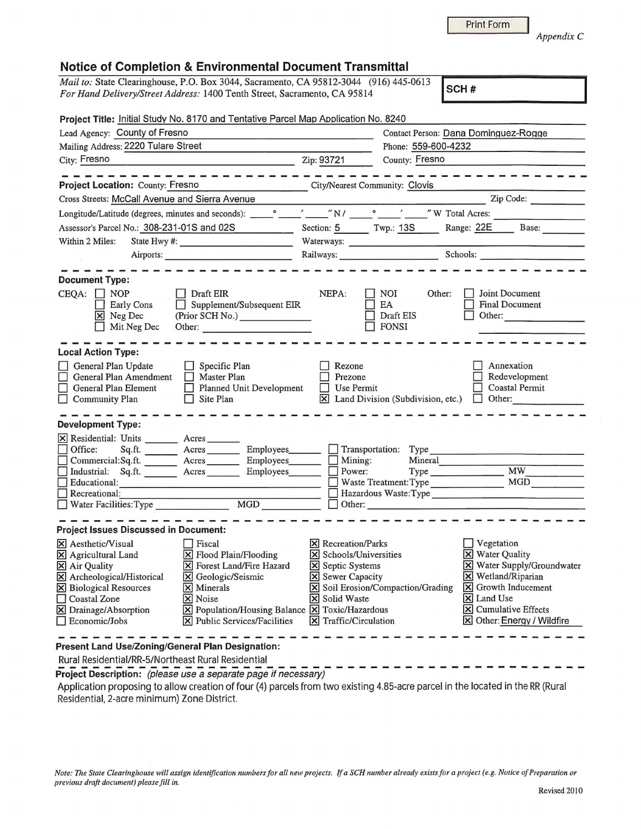## **Notice of Completion & Environmental Document Transmittal**

*Mail to:* State Clearinghouse, P.O. Box 3044, Sacramento, CA 95812-3044 (916) 445-0613

*For Hand Delivery/Street Address:* 1400 Tenth Street, Sacramento, CA 95814 **SCH # Project Title:** Initial Study No. 8170 and Tentative Parcel Map Application No. 8240 Lead Agency: County of Fresno Mailing Address: 2220 Tulare Street City: Fresno Contact Person: Dana Dominquez-Roqqe Phone: 559-600-4232 Zip: 93721 County: Fresno

**Project Location: County: Fresno** City/Nearest Community: Clovis Cross Streets: McCall Avenue and Sierra Avenue Zip Code: \_\_\_\_\_\_\_\_\_\_\_\_\_\_\_\_\_\_\_\_\_\_\_\_ Zip Code: Longitude/Latitude (degrees, minutes and seconds): \_\_ 0 \_\_ '\_\_ " N / \_\_ 0 \_\_ ' \_\_ " W Total Acres: \_\_\_\_\_\_\_ \_ Assessor's Parcel No.: 308-231-01S and 02S Section: 5 Twp.: 13S Range: 22E Base: Assessor's Parcel No.:  $\frac{306-231-015}{206-231}$  and  $\frac{0.025}{206}$  bection:  $\frac{5}{206}$  1 wp.:  $\frac{135}{135}$  Range:  $\frac{225}{225}$  Base: Airports: \_\_\_\_\_\_\_\_\_\_\_ \_ Railways: \_\_\_\_\_\_\_\_ \_ Schools: **Document Type:**   $CEQA: \Box NOP$ **Early Cons X** Neg Dec  $\Box$  Mit Neg Dec **Local Action Type:**  General Plan Update □ General Plan Amendment<br>□ General Plan Amendment<br>□ Master Plan Hement General Plan Element  $\Box$  Community Plan **Development Type:**   $\Box$  Draft EIR  $\Box$  Supplement/Subsequent EIR (Prior SCH No.) \_\_\_\_\_\_ \_ Other:  $\Box$  Specific Plan **Planned Unit Development**  $\Box$  Site Plan  $\overline{X}$  Residential: Units \_\_\_\_\_\_\_\_ Acres<br>  $\Box$  Office: Sq.ft. Acres ---------- NEPA:  $\Box$  NOI Other:  $\Box$  Joint Document<br>  $\Box$  EA  $\Box$  Final Document Draft EIS **FONSI** - - - - - - - - - <del>- - - - - - - - -</del> - $\Box$  Rezone  $\Box$  Annexation • Prezone • Redevelopment • Use Permit • Coastal Permit  $\overline{R}$  Land Division (Subdivision, etc.)  $\overline{C}$  Other: □ Office: Sq.ft. \_\_\_\_\_\_\_\_ Acres \_\_\_\_\_\_\_\_\_ Employees\_\_\_\_\_\_\_\_ □ Transportation: Type \_\_\_\_\_\_\_\_\_<br>□ Commercial:Sq.ft. \_\_\_\_\_\_\_\_ Acres \_\_\_\_\_\_\_\_ Employees\_\_\_\_\_\_\_ □ Mining: Mineral  $\Box$  Industrial: Sq.ft.  $\Box$ Acres \_\_ \_ Employees. \_\_ \_ D Mining: Mineral • Power: Type \_\_\_\_\_\_\_ ---------------- **MW \_\_\_\_ \_** --- Acres --- Employees. \_\_ \_ • Educational: ------------------ D Waste Treatment:Type MGD \_\_\_\_ \_ • Recreational\_: \_\_\_\_\_\_\_\_\_\_\_\_\_\_\_\_\_ \_ D Hazardous Waste:Type \_\_\_\_\_\_\_\_\_\_\_\_\_ \_ D Water Facilities:Type \_\_\_\_\_\_ \_ MGD ----- D Other: \_\_\_\_\_\_\_\_\_\_\_\_\_\_\_\_\_\_ \_ **Project Issues Discussed in Document:**   $\overline{X}$  Aesthetic/Visual  $\overline{X}$  Fiscal  $\overline{X}$  Recreation/Parks<br>  $\overline{X}$  Agricultural Land  $\overline{X}$  Flood Plain/Flooding  $\overline{X}$  Schools/Universities  $\overline{X}$  Flood Plain/Flooding  $\overline{X}$  Schools/Univers<br>  $\overline{X}$  Forest Land/Fire Hazard  $\overline{X}$  Septic Systems  $\overline{X}$  Air Quality  $\overline{X}$  Forest Land/Fire Hazard  $\overline{X}$  Septic Systems  $\overline{X}$  Archeological/Historical  $\overline{X}$  Geologic/Seismic  $\overline{X}$  Sewer Capacity  $\boxed{\text{X}}$  Archeological/Historical <br>
IX Geological Resources IX Minerals **EX** Minerals **IX** Soil Erosion/Compaction/Grading **IX** Noise **IX** Solid Waste  $\Box$  Coastal Zone<br> $\overline{X}$  Drainage/Absorption  $[\overline{x}]$  Population/Housing Balance  $[\overline{x}]$  Toxic/Hazardous D Economic/Jobs IR] Public Services/Facilities IR] Traffic/Circulation  $\Box$  Vegetation **X** Water Quality IR] Water Supply/Groundwater **X** Wetland/Riparian IR] Growth Inducement **X** Land Use IR] Cumulative Effects  $\boxtimes$  Other: Energy / Wildfire

## **Present Land Use/Zoning/General Plan Designation:**

Rural Residential/RR-5/Northeast Rural Residential

**Project Description:** (please use a separate page if necessary)

Application proposing to allow creation of four (4) parcels from two existing 4.85-acre parcel in the located in the RR (Rural Residential, 2-acre minimum) Zone District

Print Form